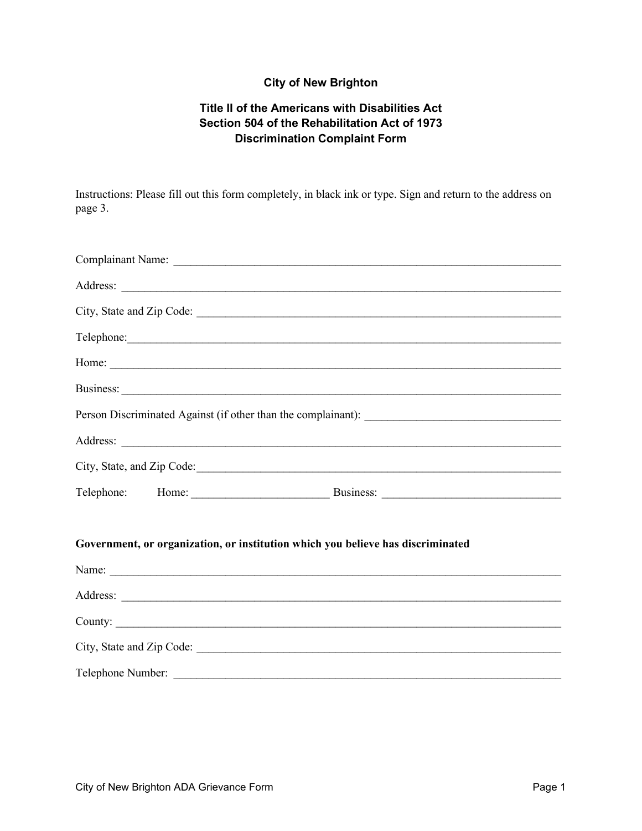## **City of New Brighton**

## **Title II of the Americans with Disabilities Act Section 504 of the Rehabilitation Act of 1973 Discrimination Complaint Form**

Instructions: Please fill out this form completely, in black ink or type. Sign and return to the address on page 3.

|  | Telephone: New York Changes and Telephone Changes and Telephone Changes and Telephone Changes and Telephone Changes and Telephone Changes and Telephone Changes and Telephone Changes and Telephone Changes and Telephone Chan |  |
|--|--------------------------------------------------------------------------------------------------------------------------------------------------------------------------------------------------------------------------------|--|
|  | Home:                                                                                                                                                                                                                          |  |
|  |                                                                                                                                                                                                                                |  |
|  |                                                                                                                                                                                                                                |  |
|  |                                                                                                                                                                                                                                |  |
|  |                                                                                                                                                                                                                                |  |
|  |                                                                                                                                                                                                                                |  |
|  | Government, or organization, or institution which you believe has discriminated                                                                                                                                                |  |
|  |                                                                                                                                                                                                                                |  |
|  |                                                                                                                                                                                                                                |  |
|  | County:                                                                                                                                                                                                                        |  |
|  |                                                                                                                                                                                                                                |  |
|  | Telephone Number:                                                                                                                                                                                                              |  |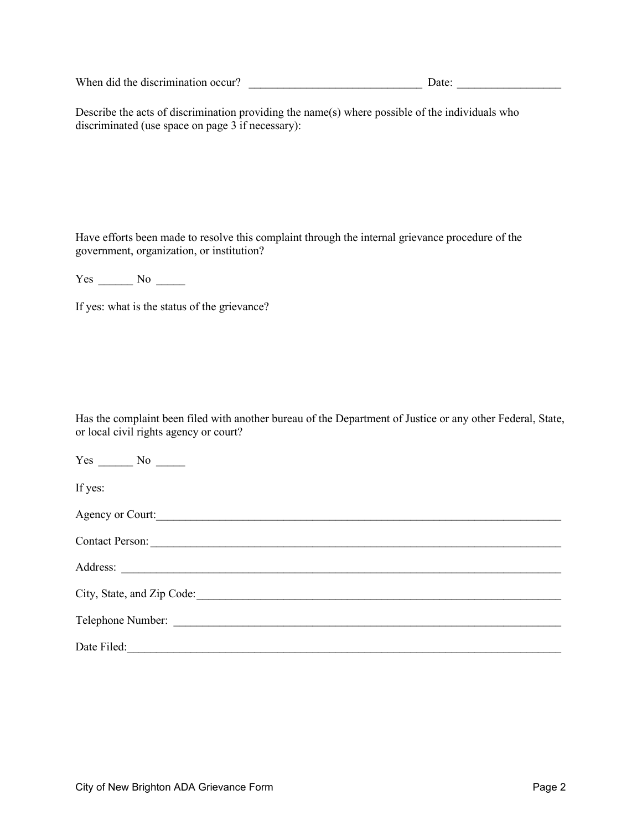When did the discrimination occur? \_\_\_\_\_\_\_\_\_\_\_\_\_\_\_\_\_\_\_\_\_\_\_\_\_\_\_\_\_\_ Date: \_\_\_\_\_\_\_\_\_\_\_\_\_\_\_\_\_\_

Describe the acts of discrimination providing the name(s) where possible of the individuals who discriminated (use space on page 3 if necessary):

Have efforts been made to resolve this complaint through the internal grievance procedure of the government, organization, or institution?

Yes \_\_\_\_\_\_\_\_ No \_\_\_\_\_\_

If yes: what is the status of the grievance?

Has the complaint been filed with another bureau of the Department of Justice or any other Federal, State, or local civil rights agency or court?

| $Yes \_\_ No \_\_$ |  |
|--------------------|--|
| If yes:            |  |
| Agency or Court:   |  |
|                    |  |
|                    |  |
|                    |  |
|                    |  |
| Date Filed:        |  |